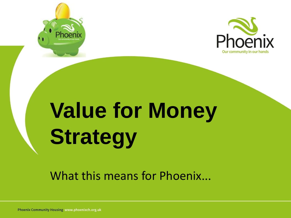



# **Value for Money Strategy**

What this means for Phoenix...

**Phoenix Community Housing www.phoenixch.org.uk**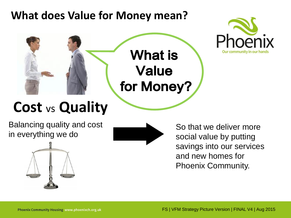#### **What does Value for Money mean?**





#### **Cost** vs **Quality**

Balancing quality and cost in everything we do





So that we deliver more social value by putting savings into our services and new homes for Phoenix Community.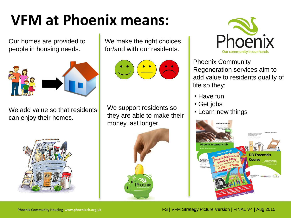## **VFM at Phoenix means:**

Our homes are provided to people in housing needs.



We add value so that residents can enjoy their homes.



We make the right choices for/and with our residents.

$$
\bigodot \, \overbrace{\textcolor{red}{\bullet}} \, \overbrace{\textcolor{blue}{\bullet}} \, \overbrace{\textcolor{blue}{\bullet}} \, \overbrace{\textcolor{blue}{\bullet}}
$$

We support residents so they are able to make their money last longer.





Phoenix Community Regeneration services aim to add value to residents quality of life so they:

- Have fun
- Get jobs
- Learn new things

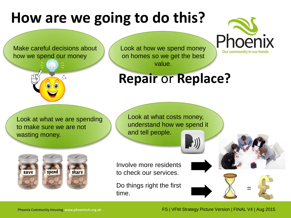### **How are we going to do this?**

Our community in our hands



Make careful decisions about

how we spend our money

#### Look at how we spend money on homes so we get the best value.

#### **Repair** or **Replace?**

Look at what we are spending to make sure we are not wasting money.

Look at what costs money, understand how we spend it and tell people.



Involve more residents to check our services.

Do things right the first time.

=